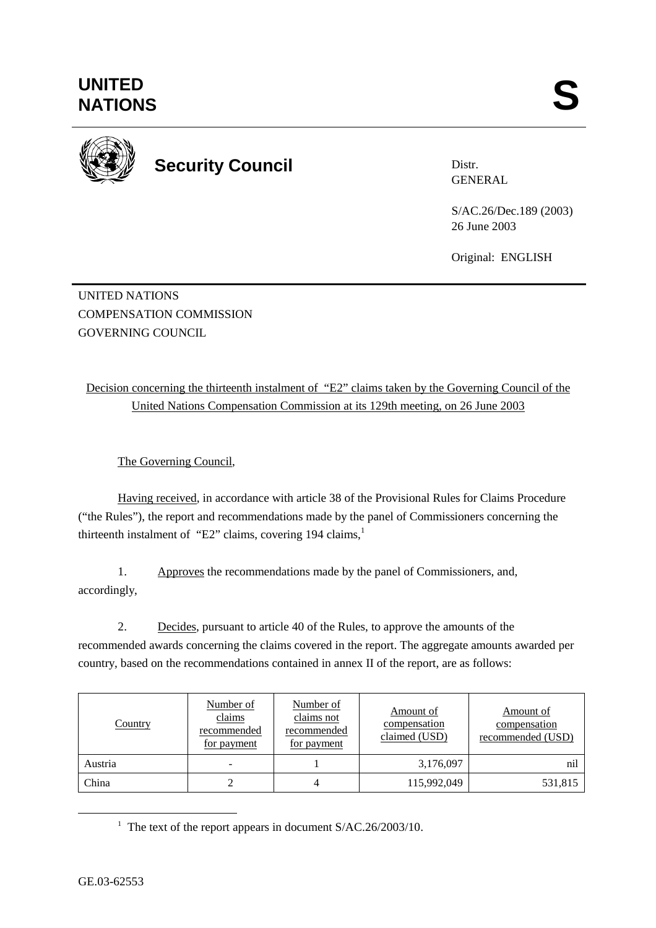

**Security Council** 

Distr. GENERAL

S/AC.26/Dec.189 (2003) 26 June 2003

Original: ENGLISH

UNITED NATIONS COMPENSATION COMMISSION GOVERNING COUNCIL

Decision concerning the thirteenth instalment of "E2" claims taken by the Governing Council of the United Nations Compensation Commission at its 129th meeting, on 26 June 2003

The Governing Council,

Having received, in accordance with article 38 of the Provisional Rules for Claims Procedure ("the Rules"), the report and recommendations made by the panel of Commissioners concerning the thirteenth instalment of "E2" claims, covering 194 claims, $\frac{1}{1}$ 

1. Approves the recommendations made by the panel of Commissioners, and, accordingly,

2. Decides, pursuant to article 40 of the Rules, to approve the amounts of the recommended awards concerning the claims covered in the report. The aggregate amounts awarded per country, based on the recommendations contained in annex II of the report, are as follows:

| <u>Country</u> | Number of<br>claims<br>recommended<br>for payment | Number of<br>claims not<br>recommended<br>for payment | Amount of<br>compensation<br>claimed (USD) | Amount of<br>compensation<br>recommended (USD) |
|----------------|---------------------------------------------------|-------------------------------------------------------|--------------------------------------------|------------------------------------------------|
| Austria        | -                                                 |                                                       | 3,176,097                                  | ni                                             |
| China          |                                                   |                                                       | 115,992,049                                | 531,815                                        |

<sup>&</sup>lt;u>1</u> <sup>1</sup> The text of the report appears in document  $S/AC.26/2003/10$ .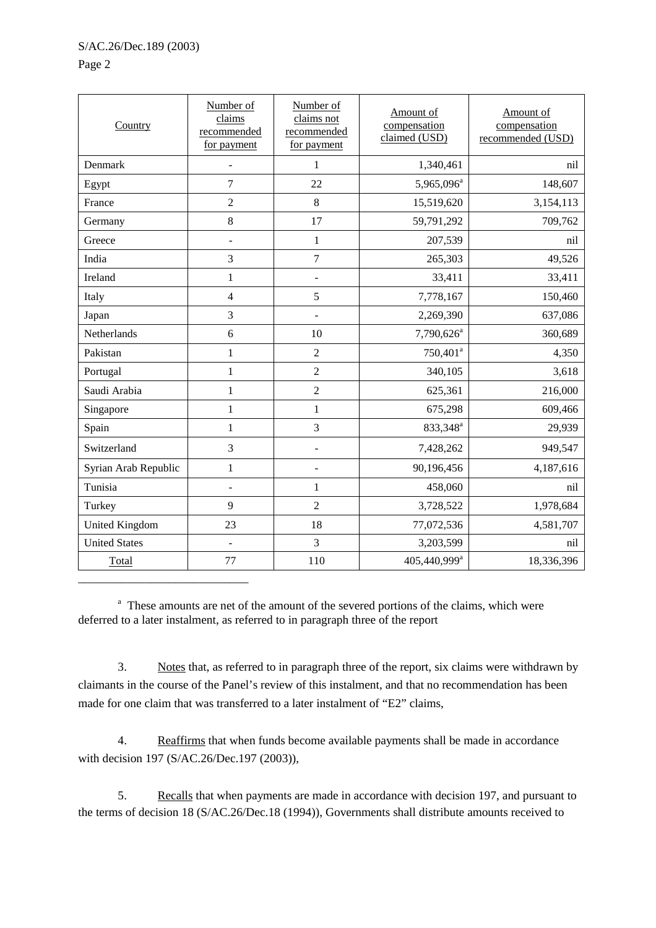## Page 2

| Country               | Number of<br>claims<br>recommended<br>for payment | Number of<br>claims not<br>recommended<br>for payment | Amount of<br>compensation<br>claimed (USD) | Amount of<br>compensation<br>recommended (USD) |
|-----------------------|---------------------------------------------------|-------------------------------------------------------|--------------------------------------------|------------------------------------------------|
| Denmark               | ÷,                                                | $\mathbf{1}$                                          | 1,340,461                                  | nil                                            |
| Egypt                 | 7                                                 | 22                                                    | 5,965,096 <sup>a</sup>                     | 148,607                                        |
| France                | $\overline{2}$                                    | 8                                                     | 15,519,620                                 | 3,154,113                                      |
| Germany               | 8                                                 | 17                                                    | 59,791,292                                 | 709,762                                        |
| Greece                | $\overline{\phantom{a}}$                          | $\mathbf{1}$                                          | 207,539                                    | nil                                            |
| India                 | $\mathfrak{Z}$                                    | $\overline{7}$                                        | 265,303                                    | 49,526                                         |
| Ireland               | $\mathbf{1}$                                      | ÷,                                                    | 33,411                                     | 33,411                                         |
| Italy                 | $\overline{4}$                                    | 5                                                     | 7,778,167                                  | 150,460                                        |
| Japan                 | 3                                                 | $\blacksquare$                                        | 2,269,390                                  | 637,086                                        |
| Netherlands           | 6                                                 | 10                                                    | 7,790,626 <sup>a</sup>                     | 360,689                                        |
| Pakistan              | $\mathbf{1}$                                      | $\overline{2}$                                        | $750,401^a$                                | 4,350                                          |
| Portugal              | $\mathbf{1}$                                      | $\overline{2}$                                        | 340,105                                    | 3,618                                          |
| Saudi Arabia          | $\mathbf 1$                                       | $\overline{2}$                                        | 625,361                                    | 216,000                                        |
| Singapore             | $\mathbf{1}$                                      | $\mathbf{1}$                                          | 675,298                                    | 609,466                                        |
| Spain                 | $\mathbf 1$                                       | 3                                                     | 833,348 <sup>a</sup>                       | 29,939                                         |
| Switzerland           | 3                                                 | $\overline{a}$                                        | 7,428,262                                  | 949,547                                        |
| Syrian Arab Republic  | $\,1\,$                                           | $\overline{a}$                                        | 90,196,456                                 | 4,187,616                                      |
| Tunisia               | $\blacksquare$                                    | 1                                                     | 458,060                                    | nil                                            |
| Turkey                | 9                                                 | $\overline{2}$                                        | 3,728,522                                  | 1,978,684                                      |
| <b>United Kingdom</b> | 23                                                | 18                                                    | 77,072,536                                 | 4,581,707                                      |
| <b>United States</b>  | ÷,                                                | 3                                                     | 3,203,599                                  | nil                                            |
| Total                 | 77                                                | 110                                                   | 405,440,999 <sup>a</sup>                   | 18,336,396                                     |

<sup>a</sup> These amounts are net of the amount of the severed portions of the claims, which were deferred to a later instalment, as referred to in paragraph three of the report

3. Notes that, as referred to in paragraph three of the report, six claims were withdrawn by claimants in the course of the Panel's review of this instalment, and that no recommendation has been made for one claim that was transferred to a later instalment of "E2" claims,

4. Reaffirms that when funds become available payments shall be made in accordance with decision 197 (S/AC.26/Dec.197 (2003)),

5. Recalls that when payments are made in accordance with decision 197, and pursuant to the terms of decision 18 (S/AC.26/Dec.18 (1994)), Governments shall distribute amounts received to